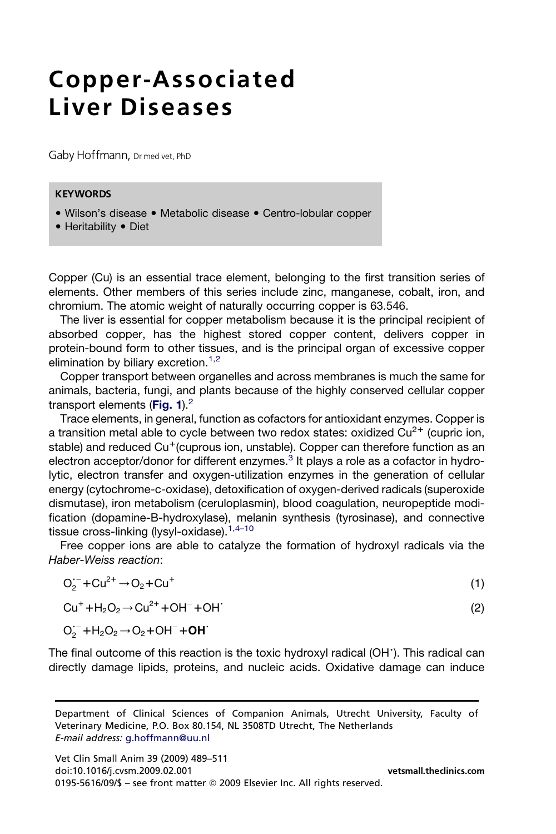# Copper-Associated Liver Diseases

Gaby Hoffmann, Dr med vet, PhD

# **KEYWORDS**

- Wilson's disease Metabolic disease Centro-lobular copper
- Heritability Diet

Copper (Cu) is an essential trace element, belonging to the first transition series of elements. Other members of this series include zinc, manganese, cobalt, iron, and chromium. The atomic weight of naturally occurring copper is 63.546.

The liver is essential for copper metabolism because it is the principal recipient of absorbed copper, has the highest stored copper content, delivers copper in protein-bound form to other tissues, and is the principal organ of excessive copper elimination by biliary excretion.<sup>[1,2](#page-17-0)</sup>

Copper transport between organelles and across membranes is much the same for animals, bacteria, fungi, and plants because of the highly conserved cellular copper transport elements ([Fig. 1](#page-1-0)). $<sup>2</sup>$  $<sup>2</sup>$  $<sup>2</sup>$ </sup>

Trace elements, in general, function as cofactors for antioxidant enzymes. Copper is a transition metal able to cycle between two redox states: oxidized  $Cu^{2+}$  (cupric ion, stable) and reduced  $Cu<sup>+</sup>(cuprous ion, unstable)$ . Copper can therefore function as an electron acceptor/donor for different enzymes. $3$  It plays a role as a cofactor in hydrolytic, electron transfer and oxygen-utilization enzymes in the generation of cellular energy (cytochrome-c-oxidase), detoxification of oxygen-derived radicals (superoxide dismutase), iron metabolism (ceruloplasmin), blood coagulation, neuropeptide modification (dopamine-B-hydroxylase), melanin synthesis (tyrosinase), and connective tissue cross-linking (lysyl-oxidase).<sup>1,4-10</sup>

Free copper ions are able to catalyze the formation of hydroxyl radicals via the *Haber-Weiss reaction*:

$$
O_2^{--} + Cu^{2+} \rightarrow O_2 + Cu^+ \tag{1}
$$

 $Cu<sup>+</sup> + H<sub>2</sub>O<sub>2</sub> \rightarrow Cu<sup>2+</sup> + OH<sup>-</sup> + OH<sup>-</sup>$ 1OH, (2)

 $O_2^{\cdot -} + H_2O_2 \rightarrow O_2 + OH^- + OH^+$ 

The final outcome of this reaction is the toxic hydroxyl radical (OH<sup>-</sup>). This radical can directly damage lipids, proteins, and nucleic acids. Oxidative damage can induce

Department of Clinical Sciences of Companion Animals, Utrecht University, Faculty of Veterinary Medicine, P.O. Box 80.154, NL 3508TD Utrecht, The Netherlands E-mail address: [g.hoffmann@uu.nl](mailto:g.hoffmann@uu.nl)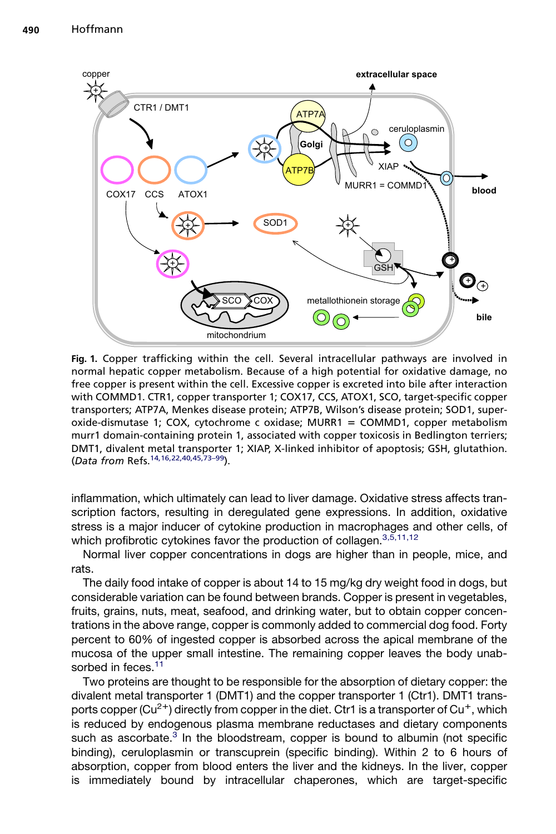<span id="page-1-0"></span>

Fig. 1. Copper trafficking within the cell. Several intracellular pathways are involved in normal hepatic copper metabolism. Because of a high potential for oxidative damage, no free copper is present within the cell. Excessive copper is excreted into bile after interaction with COMMD1. CTR1, copper transporter 1; COX17, CCS, ATOX1, SCO, target-specific copper transporters; ATP7A, Menkes disease protein; ATP7B, Wilson's disease protein; SOD1, superoxide-dismutase 1; COX, cytochrome c oxidase; MURR1 = COMMD1, copper metabolism murr1 domain-containing protein 1, associated with copper toxicosis in Bedlington terriers; DMT1, divalent metal transporter 1; XIAP, X-linked inhibitor of apoptosis; GSH, glutathion. (Data from Refs.[14,16,22,40,45,73–99](#page-17-0)).

inflammation, which ultimately can lead to liver damage. Oxidative stress affects transcription factors, resulting in deregulated gene expressions. In addition, oxidative stress is a major inducer of cytokine production in macrophages and other cells, of which profibrotic cytokines favor the production of collagen.<sup>[3,5,11,12](#page-17-0)</sup>

Normal liver copper concentrations in dogs are higher than in people, mice, and rats.

The daily food intake of copper is about 14 to 15 mg/kg dry weight food in dogs, but considerable variation can be found between brands. Copper is present in vegetables, fruits, grains, nuts, meat, seafood, and drinking water, but to obtain copper concentrations in the above range, copper is commonly added to commercial dog food. Forty percent to 60% of ingested copper is absorbed across the apical membrane of the mucosa of the upper small intestine. The remaining copper leaves the body unabsorbed in feces.<sup>11</sup>

Two proteins are thought to be responsible for the absorption of dietary copper: the divalent metal transporter 1 (DMT1) and the copper transporter 1 (Ctr1). DMT1 transports copper ( $Cu^{2+}$ ) directly from copper in the diet. Ctr1 is a transporter of  $Cu^{+}$ , which is reduced by endogenous plasma membrane reductases and dietary components such as ascorbate.<sup>[3](#page-17-0)</sup> In the bloodstream, copper is bound to albumin (not specific binding), ceruloplasmin or transcuprein (specific binding). Within 2 to 6 hours of absorption, copper from blood enters the liver and the kidneys. In the liver, copper is immediately bound by intracellular chaperones, which are target-specific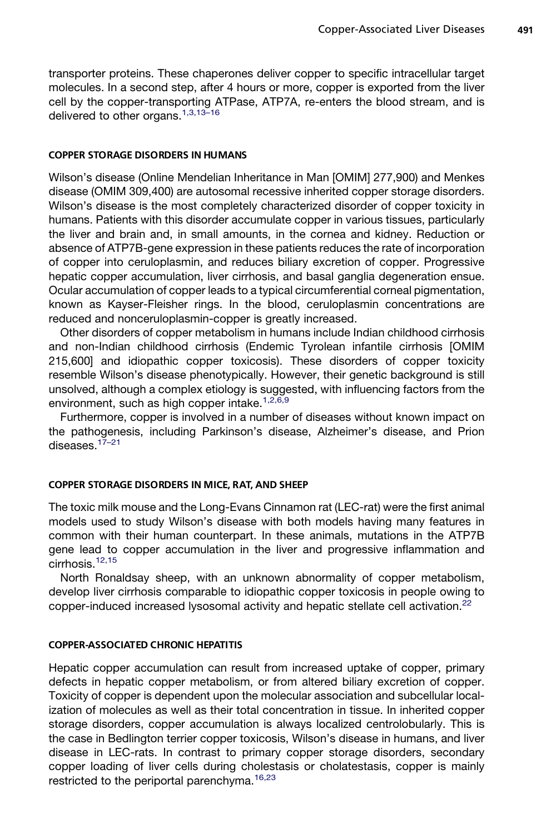transporter proteins. These chaperones deliver copper to specific intracellular target molecules. In a second step, after 4 hours or more, copper is exported from the liver cell by the copper-transporting ATPase, ATP7A, re-enters the blood stream, and is delivered to other organs. $1,3,13-16$ 

### COPPER STORAGE DISORDERS IN HUMANS

Wilson's disease (Online Mendelian Inheritance in Man [OMIM] 277,900) and Menkes disease (OMIM 309,400) are autosomal recessive inherited copper storage disorders. Wilson's disease is the most completely characterized disorder of copper toxicity in humans. Patients with this disorder accumulate copper in various tissues, particularly the liver and brain and, in small amounts, in the cornea and kidney. Reduction or absence of ATP7B-gene expression in these patients reduces the rate of incorporation of copper into ceruloplasmin, and reduces biliary excretion of copper. Progressive hepatic copper accumulation, liver cirrhosis, and basal ganglia degeneration ensue. Ocular accumulation of copper leads to a typical circumferential corneal pigmentation, known as Kayser-Fleisher rings. In the blood, ceruloplasmin concentrations are reduced and nonceruloplasmin-copper is greatly increased.

Other disorders of copper metabolism in humans include Indian childhood cirrhosis and non-Indian childhood cirrhosis (Endemic Tyrolean infantile cirrhosis [OMIM 215,600] and idiopathic copper toxicosis). These disorders of copper toxicity resemble Wilson's disease phenotypically. However, their genetic background is still unsolved, although a complex etiology is suggested, with influencing factors from the environment, such as high copper intake.<sup>[1,2,6,9](#page-17-0)</sup>

Furthermore, copper is involved in a number of diseases without known impact on the pathogenesis, including Parkinson's disease, Alzheimer's disease, and Prion diseases. $17-21$ 

#### COPPER STORAGE DISORDERS IN MICE, RAT, AND SHEEP

The toxic milk mouse and the Long-Evans Cinnamon rat (LEC-rat) were the first animal models used to study Wilson's disease with both models having many features in common with their human counterpart. In these animals, mutations in the ATP7B gene lead to copper accumulation in the liver and progressive inflammation and cirrhosis.[12,15](#page-17-0)

North Ronaldsay sheep, with an unknown abnormality of copper metabolism, develop liver cirrhosis comparable to idiopathic copper toxicosis in people owing to copper-induced increased lysosomal activity and hepatic stellate cell activation.<sup>[22](#page-18-0)</sup>

#### COPPER-ASSOCIATED CHRONIC HEPATITIS

Hepatic copper accumulation can result from increased uptake of copper, primary defects in hepatic copper metabolism, or from altered biliary excretion of copper. Toxicity of copper is dependent upon the molecular association and subcellular localization of molecules as well as their total concentration in tissue. In inherited copper storage disorders, copper accumulation is always localized centrolobularly. This is the case in Bedlington terrier copper toxicosis, Wilson's disease in humans, and liver disease in LEC-rats. In contrast to primary copper storage disorders, secondary copper loading of liver cells during cholestasis or cholatestasis, copper is mainly restricted to the periportal parenchyma.<sup>[16,23](#page-17-0)</sup>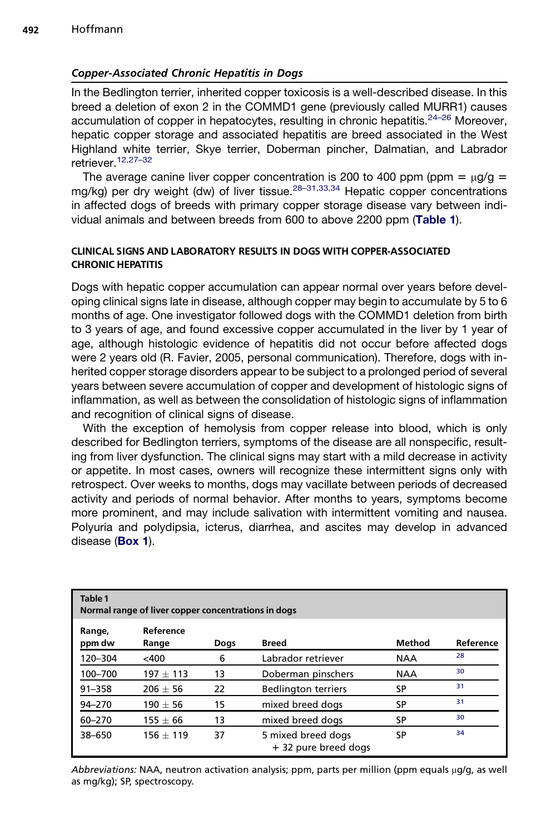# Copper-Associated Chronic Hepatitis in Dogs

In the Bedlington terrier, inherited copper toxicosis is a well-described disease. In this breed a deletion of exon 2 in the COMMD1 gene (previously called MURR1) causes accumulation of copper in hepatocytes, resulting in chronic hepatitis. $24-26$  Moreover, hepatic copper storage and associated hepatitis are breed associated in the West Highland white terrier, Skye terrier, Doberman pincher, Dalmatian, and Labrador retriever.[12,27–32](#page-17-0)

The average canine liver copper concentration is 200 to 400 ppm (ppm =  $\mu$ g/g = mg/kg) per dry weight (dw) of liver tissue.<sup>28-31,33,34</sup> Hepatic copper concentrations in affected dogs of breeds with primary copper storage disease vary between individual animals and between breeds from 600 to above 2200 ppm (Table 1).

# CLINICAL SIGNS AND LABORATORY RESULTS IN DOGS WITH COPPER-ASSOCIATED CHRONIC HEPATITIS

Dogs with hepatic copper accumulation can appear normal over years before developing clinical signs late in disease, although copper may begin to accumulate by 5 to 6 months of age. One investigator followed dogs with the COMMD1 deletion from birth to 3 years of age, and found excessive copper accumulated in the liver by 1 year of age, although histologic evidence of hepatitis did not occur before affected dogs were 2 years old (R. Favier, 2005, personal communication). Therefore, dogs with inherited copper storage disorders appear to be subject to a prolonged period of several years between severe accumulation of copper and development of histologic signs of inflammation, as well as between the consolidation of histologic signs of inflammation and recognition of clinical signs of disease.

With the exception of hemolysis from copper release into blood, which is only described for Bedlington terriers, symptoms of the disease are all nonspecific, resulting from liver dysfunction. The clinical signs may start with a mild decrease in activity or appetite. In most cases, owners will recognize these intermittent signs only with retrospect. Over weeks to months, dogs may vacillate between periods of decreased activity and periods of normal behavior. After months to years, symptoms become more prominent, and may include salivation with intermittent vomiting and nausea. Polyuria and polydipsia, icterus, diarrhea, and ascites may develop in advanced disease ([Box 1](#page-4-0)).

| Table 1<br>Normal range of liver copper concentrations in dogs |                    |      |                                            |            |           |  |  |  |  |  |
|----------------------------------------------------------------|--------------------|------|--------------------------------------------|------------|-----------|--|--|--|--|--|
| Range,<br>ppm dw                                               | Reference<br>Range | Dogs | <b>Breed</b>                               | Method     | Reference |  |  |  |  |  |
| 120-304                                                        | $<$ 400            | 6    | Labrador retriever                         | <b>NAA</b> | 28        |  |  |  |  |  |
| 100-700                                                        | $197 + 113$        | 13   | Doberman pinschers                         | <b>NAA</b> | 30        |  |  |  |  |  |
| $91 - 358$                                                     | $206 + 56$         | 22   | <b>Bedlington terriers</b>                 | SP         | 31        |  |  |  |  |  |
| 94-270                                                         | $190 + 56$         | 15   | mixed breed dogs                           | SP         | 31        |  |  |  |  |  |
| 60-270                                                         | $155 + 66$         | 13   | mixed breed dogs                           | SP         | 30        |  |  |  |  |  |
| 38-650                                                         | $156 + 119$        | 37   | 5 mixed breed dogs<br>+ 32 pure breed dogs | SP         | 34        |  |  |  |  |  |

Abbreviations: NAA, neutron activation analysis; ppm, parts per million (ppm equals  $\mu q/q$ , as well as mg/kg); SP, spectroscopy.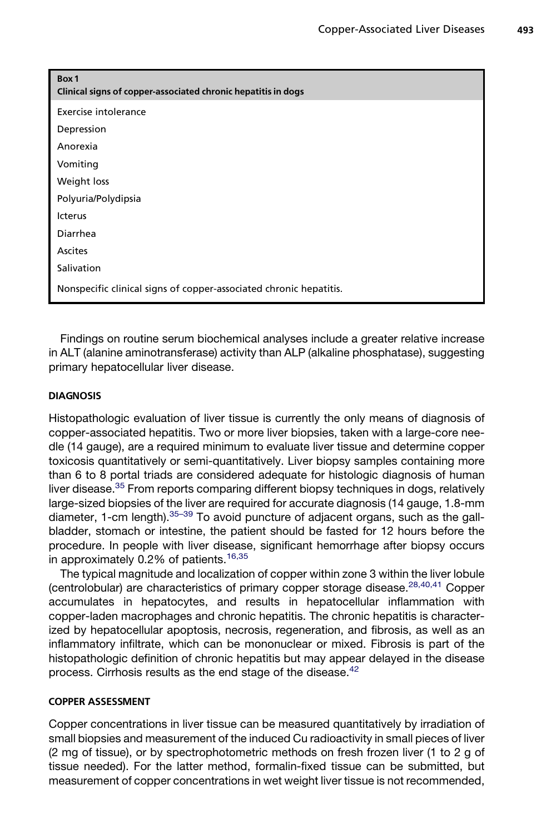<span id="page-4-0"></span>

| Box 1<br>Clinical signs of copper-associated chronic hepatitis in dogs |
|------------------------------------------------------------------------|
| Exercise intolerance                                                   |
| Depression                                                             |
| Anorexia                                                               |
| Vomiting                                                               |
| Weight loss                                                            |
| Polyuria/Polydipsia                                                    |
| <b>Icterus</b>                                                         |
| Diarrhea                                                               |
| Ascites                                                                |
| Salivation                                                             |
| Nonspecific clinical signs of copper-associated chronic hepatitis.     |

Findings on routine serum biochemical analyses include a greater relative increase in ALT (alanine aminotransferase) activity than ALP (alkaline phosphatase), suggesting primary hepatocellular liver disease.

# **DIAGNOSIS**

Histopathologic evaluation of liver tissue is currently the only means of diagnosis of copper-associated hepatitis. Two or more liver biopsies, taken with a large-core needle (14 gauge), are a required minimum to evaluate liver tissue and determine copper toxicosis quantitatively or semi-quantitatively. Liver biopsy samples containing more than 6 to 8 portal triads are considered adequate for histologic diagnosis of human liver disease.[35](#page-18-0) From reports comparing different biopsy techniques in dogs, relatively large-sized biopsies of the liver are required for accurate diagnosis (14 gauge, 1.8-mm diameter, 1-cm length).[35–39](#page-18-0) To avoid puncture of adjacent organs, such as the gallbladder, stomach or intestine, the patient should be fasted for 12 hours before the procedure. In people with liver disease, significant hemorrhage after biopsy occurs in approximately 0.2% of patients.<sup>[16,35](#page-17-0)</sup>

The typical magnitude and localization of copper within zone 3 within the liver lobule (centrolobular) are characteristics of primary copper storage disease.<sup>[28,40,41](#page-18-0)</sup> Copper accumulates in hepatocytes, and results in hepatocellular inflammation with copper-laden macrophages and chronic hepatitis. The chronic hepatitis is characterized by hepatocellular apoptosis, necrosis, regeneration, and fibrosis, as well as an inflammatory infiltrate, which can be mononuclear or mixed. Fibrosis is part of the histopathologic definition of chronic hepatitis but may appear delayed in the disease process. Cirrhosis results as the end stage of the disease.<sup>[42](#page-19-0)</sup>

#### COPPER ASSESSMENT

Copper concentrations in liver tissue can be measured quantitatively by irradiation of small biopsies and measurement of the induced Cu radioactivity in small pieces of liver (2 mg of tissue), or by spectrophotometric methods on fresh frozen liver (1 to 2 g of tissue needed). For the latter method, formalin-fixed tissue can be submitted, but measurement of copper concentrations in wet weight liver tissue is not recommended,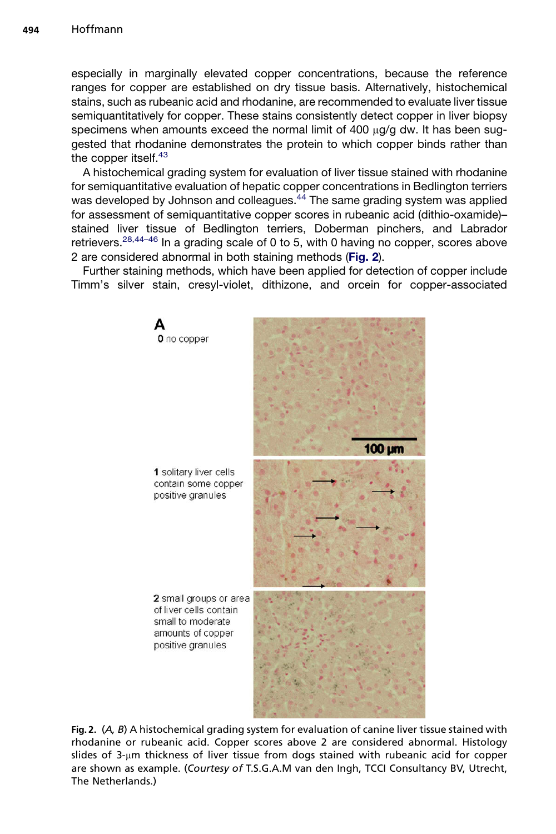especially in marginally elevated copper concentrations, because the reference ranges for copper are established on dry tissue basis. Alternatively, histochemical stains, such as rubeanic acid and rhodanine, are recommended to evaluate liver tissue semiquantitatively for copper. These stains consistently detect copper in liver biopsy specimens when amounts exceed the normal limit of 400  $\mu$ g/g dw. It has been suggested that rhodanine demonstrates the protein to which copper binds rather than the copper itself.<sup>43</sup>

A histochemical grading system for evaluation of liver tissue stained with rhodanine for semiquantitative evaluation of hepatic copper concentrations in Bedlington terriers was developed by Johnson and colleagues.<sup>[44](#page-19-0)</sup> The same grading system was applied for assessment of semiquantitative copper scores in rubeanic acid (dithio-oxamide)– stained liver tissue of Bedlington terriers, Doberman pinchers, and Labrador retrievers.  $28,44-46$  In a grading scale of 0 to 5, with 0 having no copper, scores above 2 are considered abnormal in both staining methods (Fig. 2).

Further staining methods, which have been applied for detection of copper include Timm's silver stain, cresyl-violet, dithizone, and orcein for copper-associated



Fig. 2.  $(A, B)$  A histochemical grading system for evaluation of canine liver tissue stained with rhodanine or rubeanic acid. Copper scores above 2 are considered abnormal. Histology slides of  $3\text{-}\mu\text{m}$  thickness of liver tissue from dogs stained with rubeanic acid for copper are shown as example. (Courtesy of T.S.G.A.M van den Ingh, TCCI Consultancy BV, Utrecht, The Netherlands.)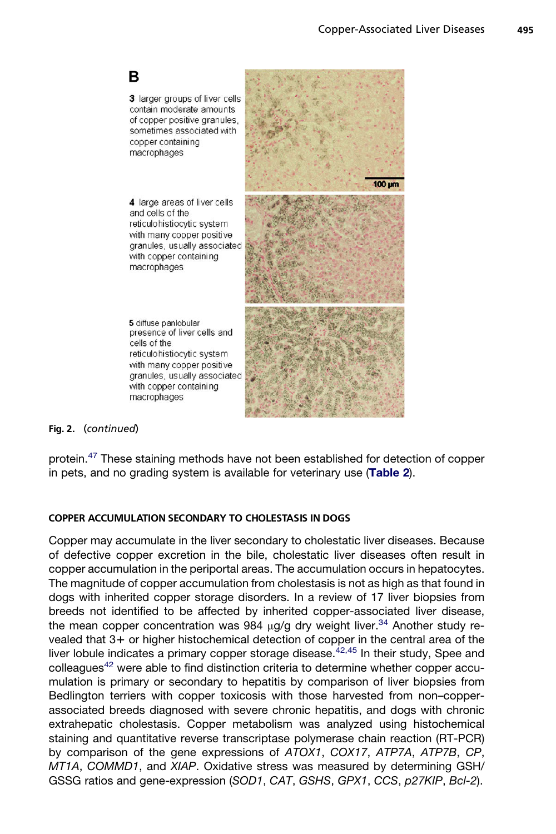

#### Fig. 2. (continued)

protein.<sup>47</sup> These staining methods have not been established for detection of copper in pets, and no grading system is available for veterinary use ([Table 2](#page-7-0)).

#### COPPER ACCUMULATION SECONDARY TO CHOLESTASIS IN DOGS

Copper may accumulate in the liver secondary to cholestatic liver diseases. Because of defective copper excretion in the bile, cholestatic liver diseases often result in copper accumulation in the periportal areas. The accumulation occurs in hepatocytes. The magnitude of copper accumulation from cholestasis is not as high as that found in dogs with inherited copper storage disorders. In a review of 17 liver biopsies from breeds not identified to be affected by inherited copper-associated liver disease, the mean copper concentration was 984  $\mu$ g/g dry weight liver.<sup>[34](#page-18-0)</sup> Another study revealed that 31 or higher histochemical detection of copper in the central area of the liver lobule indicates a primary copper storage disease.<sup>[42,45](#page-19-0)</sup> In their study, Spee and colleagues<sup>[42](#page-19-0)</sup> were able to find distinction criteria to determine whether copper accumulation is primary or secondary to hepatitis by comparison of liver biopsies from Bedlington terriers with copper toxicosis with those harvested from non–copperassociated breeds diagnosed with severe chronic hepatitis, and dogs with chronic extrahepatic cholestasis. Copper metabolism was analyzed using histochemical staining and quantitative reverse transcriptase polymerase chain reaction (RT-PCR) by comparison of the gene expressions of *ATOX1*, *COX17*, *ATP7A*, *ATP7B*, *CP*, *MT1A*, *COMMD1*, and *XIAP*. Oxidative stress was measured by determining GSH/ GSSG ratios and gene-expression (*SOD1*, *CAT*, *GSHS*, *GPX1*, *CCS*, *p27KIP*, *Bcl-2*).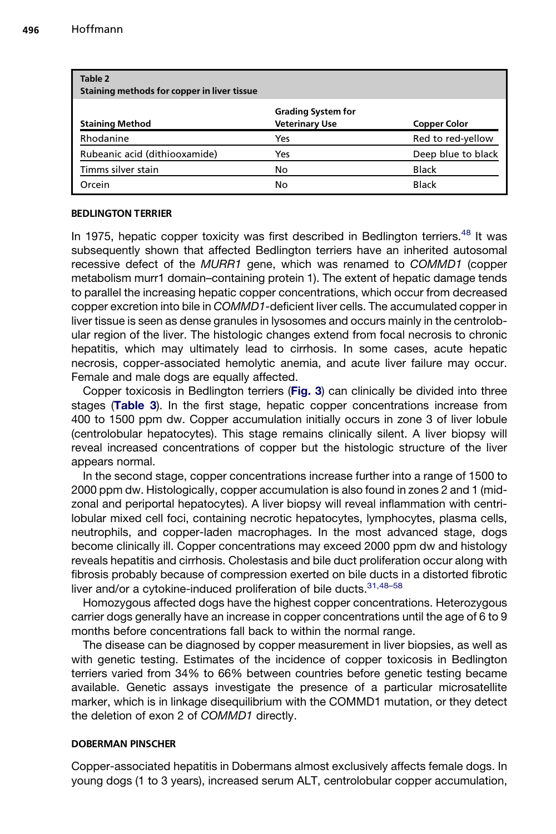<span id="page-7-0"></span>

| Table 2                                     |                           |                     |
|---------------------------------------------|---------------------------|---------------------|
| Staining methods for copper in liver tissue |                           |                     |
|                                             |                           |                     |
|                                             | <b>Grading System for</b> |                     |
| <b>Staining Method</b>                      | <b>Veterinary Use</b>     | <b>Copper Color</b> |
| Rhodanine                                   | Yes                       | Red to red-yellow   |
| Rubeanic acid (dithiooxamide)               | Yes                       | Deep blue to black  |
| Timms silver stain                          | No                        | <b>Black</b>        |
| Orcein                                      | No                        | <b>Black</b>        |

#### BEDLINGTON TERRIER

In 1975, hepatic copper toxicity was first described in Bedlington terriers. $48$  It was subsequently shown that affected Bedlington terriers have an inherited autosomal recessive defect of the *MURR1* gene, which was renamed to *COMMD1* (copper metabolism murr1 domain–containing protein 1). The extent of hepatic damage tends to parallel the increasing hepatic copper concentrations, which occur from decreased copper excretion into bile in *COMMD1-*deficient liver cells. The accumulated copper in liver tissue is seen as dense granules in lysosomes and occurs mainly in the centrolobular region of the liver. The histologic changes extend from focal necrosis to chronic hepatitis, which may ultimately lead to cirrhosis. In some cases, acute hepatic necrosis, copper-associated hemolytic anemia, and acute liver failure may occur. Female and male dogs are equally affected.

Copper toxicosis in Bedlington terriers ([Fig. 3](#page-8-0)) can clinically be divided into three stages ([Table 3](#page-8-0)). In the first stage, hepatic copper concentrations increase from 400 to 1500 ppm dw. Copper accumulation initially occurs in zone 3 of liver lobule (centrolobular hepatocytes). This stage remains clinically silent. A liver biopsy will reveal increased concentrations of copper but the histologic structure of the liver appears normal.

In the second stage, copper concentrations increase further into a range of 1500 to 2000 ppm dw. Histologically, copper accumulation is also found in zones 2 and 1 (midzonal and periportal hepatocytes). A liver biopsy will reveal inflammation with centrilobular mixed cell foci, containing necrotic hepatocytes, lymphocytes, plasma cells, neutrophils, and copper-laden macrophages. In the most advanced stage, dogs become clinically ill. Copper concentrations may exceed 2000 ppm dw and histology reveals hepatitis and cirrhosis. Cholestasis and bile duct proliferation occur along with fibrosis probably because of compression exerted on bile ducts in a distorted fibrotic liver and/or a cytokine-induced proliferation of bile ducts. 31,48-58

Homozygous affected dogs have the highest copper concentrations. Heterozygous carrier dogs generally have an increase in copper concentrations until the age of 6 to 9 months before concentrations fall back to within the normal range.

The disease can be diagnosed by copper measurement in liver biopsies, as well as with genetic testing. Estimates of the incidence of copper toxicosis in Bedlington terriers varied from 34% to 66% between countries before genetic testing became available. Genetic assays investigate the presence of a particular microsatellite marker, which is in linkage disequilibrium with the COMMD1 mutation, or they detect the deletion of exon 2 of *COMMD1* directly.

#### DOBERMAN PINSCHER

Copper-associated hepatitis in Dobermans almost exclusively affects female dogs. In young dogs (1 to 3 years), increased serum ALT, centrolobular copper accumulation,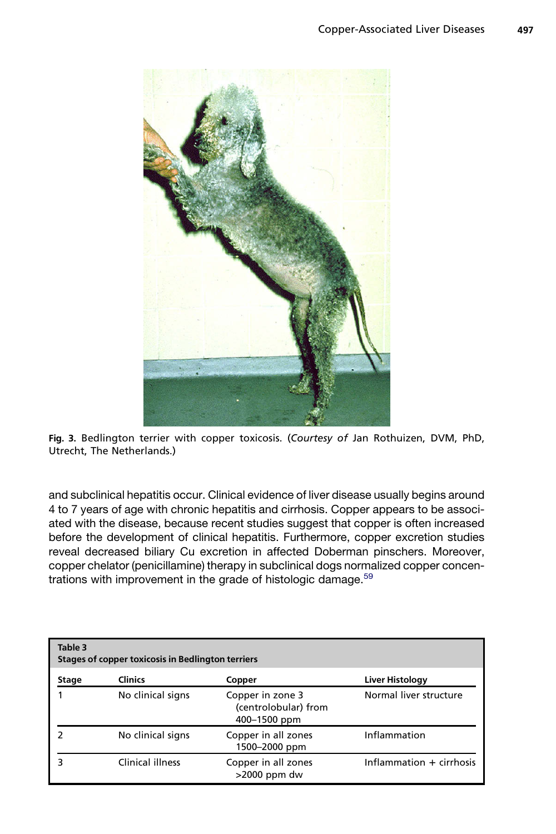<span id="page-8-0"></span>

Fig. 3. Bedlington terrier with copper toxicosis. (Courtesy of Jan Rothuizen, DVM, PhD, Utrecht, The Netherlands.)

and subclinical hepatitis occur. Clinical evidence of liver disease usually begins around 4 to 7 years of age with chronic hepatitis and cirrhosis. Copper appears to be associated with the disease, because recent studies suggest that copper is often increased before the development of clinical hepatitis. Furthermore, copper excretion studies reveal decreased biliary Cu excretion in affected Doberman pinschers. Moreover, copper chelator (penicillamine) therapy in subclinical dogs normalized copper concentrations with improvement in the grade of histologic damage. $59$ 

| Table 3<br><b>Stages of copper toxicosis in Bedlington terriers</b> |                   |                                                          |                          |  |  |  |  |  |
|---------------------------------------------------------------------|-------------------|----------------------------------------------------------|--------------------------|--|--|--|--|--|
| Stage                                                               | Clinics           | Copper                                                   | Liver Histology          |  |  |  |  |  |
|                                                                     | No clinical signs | Copper in zone 3<br>(centrolobular) from<br>400-1500 ppm | Normal liver structure   |  |  |  |  |  |
|                                                                     | No clinical signs | Copper in all zones<br>1500-2000 ppm                     | Inflammation             |  |  |  |  |  |
|                                                                     | Clinical illness  | Copper in all zones<br>$>2000$ ppm dw                    | Inflammation + cirrhosis |  |  |  |  |  |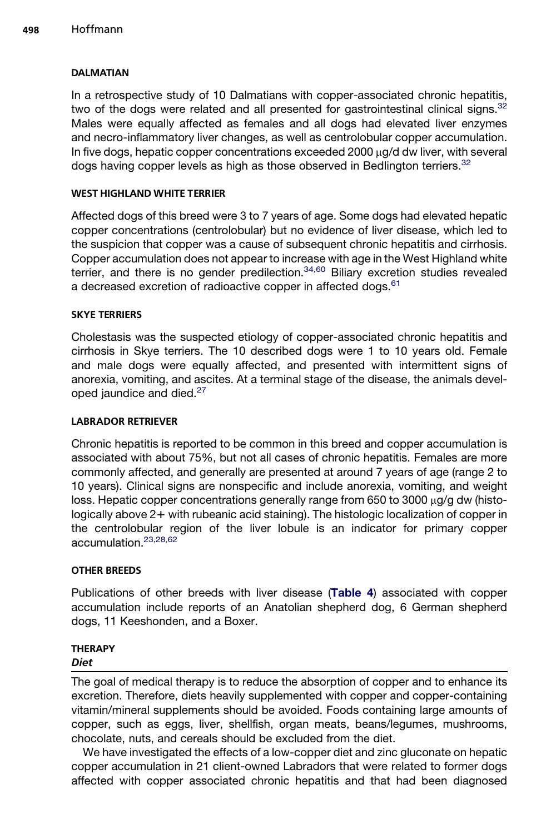# DALMATIAN

In a retrospective study of 10 Dalmatians with copper-associated chronic hepatitis, two of the dogs were related and all presented for gastrointestinal clinical signs.<sup>[32](#page-18-0)</sup> Males were equally affected as females and all dogs had elevated liver enzymes and necro-inflammatory liver changes, as well as centrolobular copper accumulation. In five dogs, hepatic copper concentrations exceeded  $2000 \mu q/d$  dw liver, with several dogs having copper levels as high as those observed in Bedlington terriers.<sup>[32](#page-18-0)</sup>

# WEST HIGHLAND WHITE TERRIER

Affected dogs of this breed were 3 to 7 years of age. Some dogs had elevated hepatic copper concentrations (centrolobular) but no evidence of liver disease, which led to the suspicion that copper was a cause of subsequent chronic hepatitis and cirrhosis. Copper accumulation does not appear to increase with age in the West Highland white terrier, and there is no gender predilection.<sup>[34,60](#page-18-0)</sup> Biliary excretion studies revealed a decreased excretion of radioactive copper in affected dogs.<sup>[61](#page-20-0)</sup>

# SKYE TERRIERS

Cholestasis was the suspected etiology of copper-associated chronic hepatitis and cirrhosis in Skye terriers. The 10 described dogs were 1 to 10 years old. Female and male dogs were equally affected, and presented with intermittent signs of anorexia, vomiting, and ascites. At a terminal stage of the disease, the animals devel-oped jaundice and died.<sup>[27](#page-18-0)</sup>

# LABRADOR RETRIEVER

Chronic hepatitis is reported to be common in this breed and copper accumulation is associated with about 75%, but not all cases of chronic hepatitis. Females are more commonly affected, and generally are presented at around 7 years of age (range 2 to 10 years). Clinical signs are nonspecific and include anorexia, vomiting, and weight loss. Hepatic copper concentrations generally range from 650 to 3000  $\mu$ g/g dw (histologically above 2+ with rubeanic acid staining). The histologic localization of copper in the centrolobular region of the liver lobule is an indicator for primary copper accumulation.[23,28,62](#page-18-0)

# OTHER BREEDS

Publications of other breeds with liver disease ([Table 4](#page-11-0)) associated with copper accumulation include reports of an Anatolian shepherd dog, 6 German shepherd dogs, 11 Keeshonden, and a Boxer.

# **THERAPY**

Diet

The goal of medical therapy is to reduce the absorption of copper and to enhance its excretion. Therefore, diets heavily supplemented with copper and copper-containing vitamin/mineral supplements should be avoided. Foods containing large amounts of copper, such as eggs, liver, shellfish, organ meats, beans/legumes, mushrooms, chocolate, nuts, and cereals should be excluded from the diet.

We have investigated the effects of a low-copper diet and zinc gluconate on hepatic copper accumulation in 21 client-owned Labradors that were related to former dogs affected with copper associated chronic hepatitis and that had been diagnosed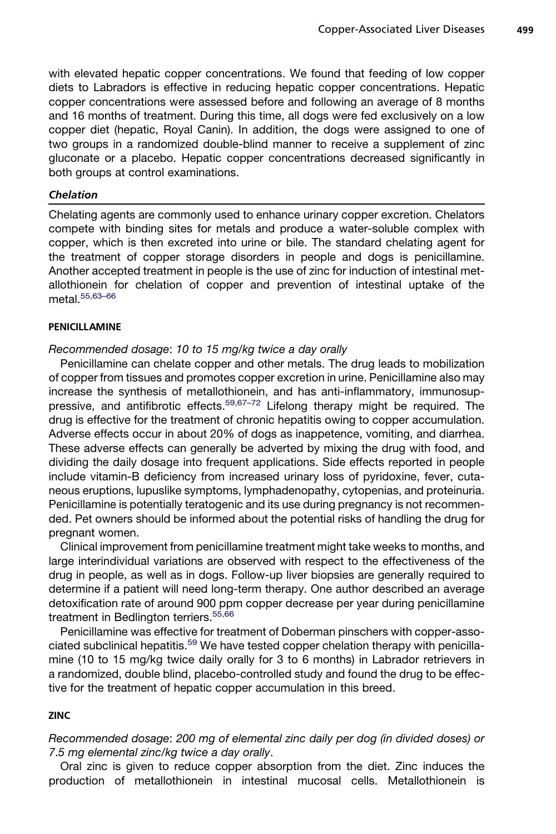with elevated hepatic copper concentrations. We found that feeding of low copper diets to Labradors is effective in reducing hepatic copper concentrations. Hepatic copper concentrations were assessed before and following an average of 8 months and 16 months of treatment. During this time, all dogs were fed exclusively on a low copper diet (hepatic, Royal Canin). In addition, the dogs were assigned to one of two groups in a randomized double-blind manner to receive a supplement of zinc gluconate or a placebo. Hepatic copper concentrations decreased significantly in both groups at control examinations.

#### Chelation

Chelating agents are commonly used to enhance urinary copper excretion. Chelators compete with binding sites for metals and produce a water-soluble complex with copper, which is then excreted into urine or bile. The standard chelating agent for the treatment of copper storage disorders in people and dogs is penicillamine. Another accepted treatment in people is the use of zinc for induction of intestinal metallothionein for chelation of copper and prevention of intestinal uptake of the metal.[55,63–66](#page-19-0)

#### PENICILLAMINE

#### *Recommended dosage*: *10 to 15 mg/kg twice a day orally*

Penicillamine can chelate copper and other metals. The drug leads to mobilization of copper from tissues and promotes copper excretion in urine. Penicillamine also may increase the synthesis of metallothionein, and has anti-inflammatory, immunosuppressive, and antifibrotic effects.[59,67–72](#page-20-0) Lifelong therapy might be required. The drug is effective for the treatment of chronic hepatitis owing to copper accumulation. Adverse effects occur in about 20% of dogs as inappetence, vomiting, and diarrhea. These adverse effects can generally be adverted by mixing the drug with food, and dividing the daily dosage into frequent applications. Side effects reported in people include vitamin-B deficiency from increased urinary loss of pyridoxine, fever, cutaneous eruptions, lupuslike symptoms, lymphadenopathy, cytopenias, and proteinuria. Penicillamine is potentially teratogenic and its use during pregnancy is not recommended. Pet owners should be informed about the potential risks of handling the drug for pregnant women.

Clinical improvement from penicillamine treatment might take weeks to months, and large interindividual variations are observed with respect to the effectiveness of the drug in people, as well as in dogs. Follow-up liver biopsies are generally required to determine if a patient will need long-term therapy. One author described an average detoxification rate of around 900 ppm copper decrease per year during penicillamine treatment in Bedlington terriers.<sup>[55,66](#page-19-0)</sup>

Penicillamine was effective for treatment of Doberman pinschers with copper-asso-ciated subclinical hepatitis.<sup>[59](#page-20-0)</sup> We have tested copper chelation therapy with penicillamine (10 to 15 mg/kg twice daily orally for 3 to 6 months) in Labrador retrievers in a randomized, double blind, placebo-controlled study and found the drug to be effective for the treatment of hepatic copper accumulation in this breed.

#### ZINC

*Recommended dosage*: *200 mg of elemental zinc daily per dog (in divided doses) or 7*.*5 mg elemental zinc/kg twice a day orally*.

Oral zinc is given to reduce copper absorption from the diet. Zinc induces the production of metallothionein in intestinal mucosal cells. Metallothionein is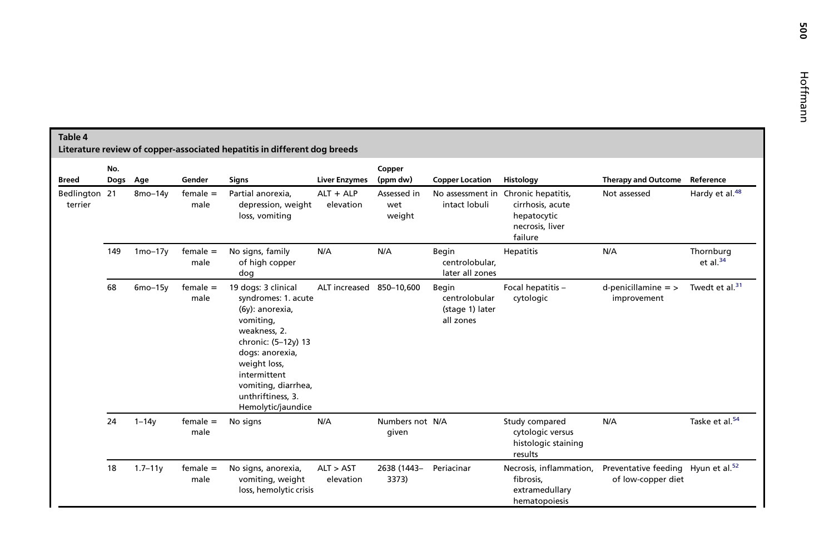005

# <span id="page-11-0"></span>Table 4

# Literature review of copper-associated hepatitis in different dog breeds

| <b>Breed</b>             | No.<br>Dogs | Age         | Gender                | Signs                                                                                                                                                                                                                                  | <b>Liver Enzymes</b>     | Copper<br>(ppm dw)           | <b>Copper Location</b>                                 | Histology                                                                                            | <b>Therapy and Outcome</b>                 | Reference                  |
|--------------------------|-------------|-------------|-----------------------|----------------------------------------------------------------------------------------------------------------------------------------------------------------------------------------------------------------------------------------|--------------------------|------------------------------|--------------------------------------------------------|------------------------------------------------------------------------------------------------------|--------------------------------------------|----------------------------|
| Bedlington 21<br>terrier |             | $8mo-14v$   | $f$ emale $=$<br>male | Partial anorexia,<br>depression, weight<br>loss, vomiting                                                                                                                                                                              | $ALT + ALP$<br>elevation | Assessed in<br>wet<br>weight | intact lobuli                                          | No assessment in Chronic hepatitis,<br>cirrhosis, acute<br>hepatocytic<br>necrosis, liver<br>failure | Not assessed                               | Hardy et al. <sup>48</sup> |
|                          | 149         | $1mo-17v$   | $f$ emale $=$<br>male | No signs, family<br>of high copper<br>dog                                                                                                                                                                                              | N/A                      | N/A                          | Begin<br>centrolobular,<br>later all zones             | Hepatitis                                                                                            | N/A                                        | Thornburg<br>et al. $34$   |
|                          | 68          | $6mo-15v$   | $f$ emale $=$<br>male | 19 dogs: 3 clinical<br>syndromes: 1. acute<br>(6y): anorexia,<br>vomiting,<br>weakness, 2.<br>chronic: (5-12y) 13<br>dogs: anorexia,<br>weight loss,<br>intermittent<br>vomiting, diarrhea,<br>unthriftiness, 3.<br>Hemolytic/jaundice | <b>ALT</b> increased     | 850-10,600                   | Begin<br>centrolobular<br>(stage 1) later<br>all zones | Focal hepatitis -<br>cytologic                                                                       | $d$ -penicillamine = $>$<br>improvement    | Twedt et al. <sup>31</sup> |
|                          | 24          | $1-14v$     | $f$ emale $=$<br>male | No signs                                                                                                                                                                                                                               | N/A                      | Numbers not N/A<br>given     |                                                        | Study compared<br>cytologic versus<br>histologic staining<br>results                                 | N/A                                        | Taske et al. <sup>54</sup> |
|                          | 18          | $1.7 - 11v$ | $f$ emale =<br>male   | No signs, anorexia,<br>vomiting, weight<br>loss, hemolytic crisis                                                                                                                                                                      | ALT > AST<br>elevation   | 2638 (1443-<br>3373)         | Periacinar                                             | Necrosis, inflammation,<br>fibrosis.<br>extramedullary<br>hematopoiesis                              | Preventative feeding<br>of low-copper diet | Hyun et al. <sup>52</sup>  |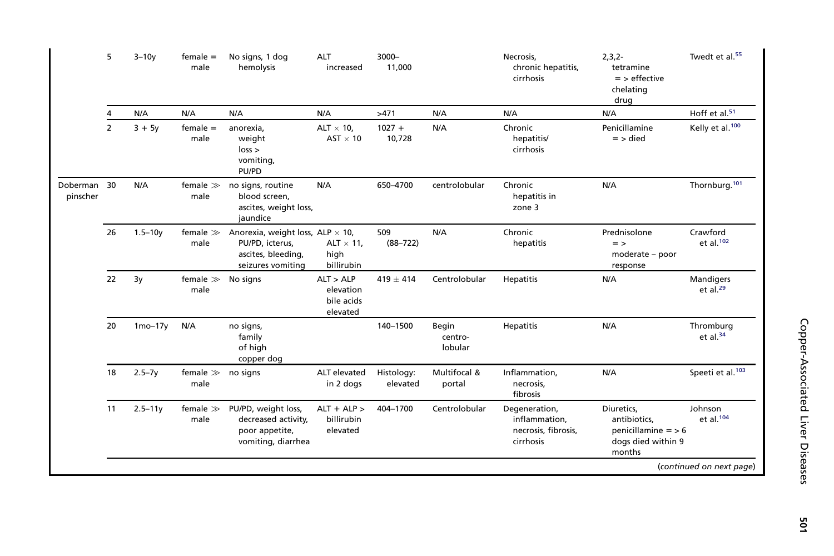|                         | 5  | $3-10y$     | $f$ emale =<br>male           | No signs, 1 dog<br>hemolysis                                                                           | ALT<br>increased                                 | $3000 -$<br>11,000     |                             | Necrosis,<br>chronic hepatitis,<br>cirrhosis                       | $2,3,2-$<br>tetramine<br>$=$ > effective<br>chelating<br>drug                       | Twedt et al. <sup>55</sup>        |
|-------------------------|----|-------------|-------------------------------|--------------------------------------------------------------------------------------------------------|--------------------------------------------------|------------------------|-----------------------------|--------------------------------------------------------------------|-------------------------------------------------------------------------------------|-----------------------------------|
|                         |    | N/A         | N/A                           | N/A                                                                                                    | N/A                                              | >471                   | N/A                         | N/A                                                                | N/A                                                                                 | Hoff et al. <sup>51</sup>         |
|                         | 2  | $3 + 5y$    | $f$ emale =<br>male           | anorexia,<br>weight<br>loss<br>vomiting,<br>PU/PD                                                      | ALT $\times$ 10,<br>$AST \times 10$              | $1027 +$<br>10,728     | N/A                         | Chronic<br>hepatitis/<br>cirrhosis                                 | Penicillamine<br>$=$ > died                                                         | Kelly et al. <sup>100</sup>       |
| Doberman 30<br>pinscher |    | N/A         | female $\gg$<br>male          | no signs, routine<br>blood screen,<br>ascites, weight loss,<br>jaundice                                | N/A                                              | 650-4700               | centrolobular               | Chronic<br>hepatitis in<br>zone 3                                  | N/A                                                                                 | Thornburg. <sup>101</sup>         |
|                         | 26 | $1.5 - 10y$ | female $\gg$<br>male          | Anorexia, weight loss, $ALP \times 10$ ,<br>PU/PD, icterus,<br>ascites, bleeding,<br>seizures vomiting | ALT $\times$ 11,<br>high<br>billirubin           | 509<br>$(88 - 722)$    | N/A                         | Chronic<br>hepatitis                                               | Prednisolone<br>$=$ ><br>moderate - poor<br>response                                | Crawford<br>et al. <sup>102</sup> |
|                         | 22 | 3y          | female $\gg$ No signs<br>male |                                                                                                        | ALT > ALP<br>elevation<br>bile acids<br>elevated | $419 \pm 414$          | Centrolobular               | Hepatitis                                                          | N/A                                                                                 | Mandigers<br>et al. $29$          |
|                         | 20 | $1mo-17y$   | N/A                           | no signs,<br>family<br>of high<br>copper dog                                                           |                                                  | 140-1500               | Begin<br>centro-<br>lobular | Hepatitis                                                          | N/A                                                                                 | Thromburg<br>et al. $34$          |
|                         | 18 | $2.5 - 7y$  | female $\gg$<br>male          | no signs                                                                                               | ALT elevated<br>in 2 dogs                        | Histology:<br>elevated | Multifocal &<br>portal      | Inflammation,<br>necrosis,<br>fibrosis                             | N/A                                                                                 | Speeti et al. <sup>103</sup>      |
|                         | 11 | $2.5 - 11y$ | female $\gg$<br>male          | PU/PD, weight loss,<br>decreased activity,<br>poor appetite,<br>vomiting, diarrhea                     | $ALT + ALP$<br>billirubin<br>elevated            | 404-1700               | Centrolobular               | Degeneration,<br>inflammation,<br>necrosis, fibrosis,<br>cirrhosis | Diuretics,<br>antibiotics,<br>penicillamine $=$ > 6<br>dogs died within 9<br>months | Johnson<br>et al. <sup>104</sup>  |
|                         |    |             |                               |                                                                                                        |                                                  |                        |                             |                                                                    |                                                                                     | (continued on next page)          |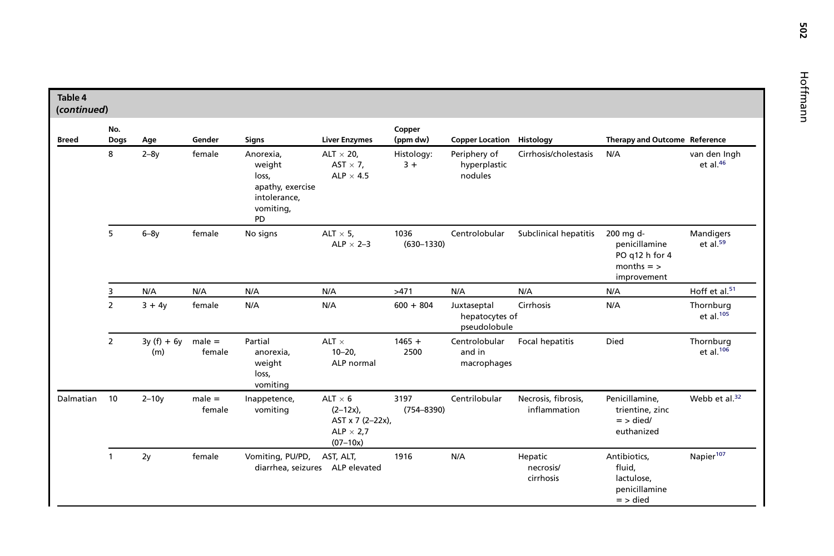| Table 4<br>(continued) |                |                     |                    |                                                                                     |                                                                                     |                        |                                               |                                     |                                                                               |                                      |
|------------------------|----------------|---------------------|--------------------|-------------------------------------------------------------------------------------|-------------------------------------------------------------------------------------|------------------------|-----------------------------------------------|-------------------------------------|-------------------------------------------------------------------------------|--------------------------------------|
| Breed                  | No.<br>Dogs    | Age                 | Gender             | Signs                                                                               | <b>Liver Enzymes</b>                                                                | Copper<br>(ppm dw)     | <b>Copper Location Histology</b>              |                                     | Therapy and Outcome Reference                                                 |                                      |
|                        | 8              | $2-8y$              | female             | Anorexia.<br>weight<br>loss,<br>apathy, exercise<br>intolerance.<br>vomiting,<br>PD | ALT $\times$ 20,<br>AST $\times$ 7,<br>ALP $\times$ 4.5                             | Histology:<br>$3+$     | Periphery of<br>hyperplastic<br>nodules       | Cirrhosis/cholestasis               | N/A                                                                           | van den Ingh<br>et al. <sup>46</sup> |
|                        | 5              | $6 - 8y$            | female             | No signs                                                                            | ALT $\times$ 5,<br>ALP $\times$ 2-3                                                 | 1036<br>$(630 - 1330)$ | Centrolobular                                 | Subclinical hepatitis               | 200 mg d-<br>penicillamine<br>PO g12 h for 4<br>months $=$ $>$<br>improvement | Mandigers<br>et al. $59$             |
|                        | 3              | N/A                 | N/A                | N/A                                                                                 | N/A                                                                                 | >471                   | N/A                                           | N/A                                 | N/A                                                                           | Hoff et al. <sup>51</sup>            |
|                        | 2              | $3 + 4v$            | female             | N/A                                                                                 | N/A                                                                                 | $600 + 804$            | Juxtaseptal<br>hepatocytes of<br>pseudolobule | Cirrhosis                           | N/A                                                                           | Thornburg<br>et al. $105$            |
|                        | $\overline{2}$ | $3y(f) + 6y$<br>(m) | $male =$<br>female | Partial<br>anorexia,<br>weight<br>loss,<br>vomiting                                 | ALT $\times$<br>$10 - 20$<br>ALP normal                                             | $1465 +$<br>2500       | Centrolobular<br>and in<br>macrophages        | Focal hepatitis                     | Died                                                                          | Thornburg<br>et al. <sup>106</sup>   |
| Dalmatian              | 10             | $2-10y$             | $male =$<br>female | Inappetence,<br>vomiting                                                            | ALT $\times$ 6<br>$(2-12x)$ ,<br>AST x 7 (2-22x),<br>ALP $\times$ 2,7<br>$(07-10x)$ | 3197<br>$(754 - 8390)$ | Centrilobular                                 | Necrosis, fibrosis,<br>inflammation | Penicillamine.<br>trientine, zinc<br>$=$ > died/<br>euthanized                | Webb et al. $32$                     |
|                        | $\mathbf{1}$   | 2y                  | female             | Vomiting, PU/PD,<br>diarrhea, seizures ALP elevated                                 | AST, ALT,                                                                           | 1916                   | N/A                                           | Hepatic<br>necrosis/<br>cirrhosis   | Antibiotics,<br>fluid,<br>lactulose,<br>penicillamine<br>$=$ > died           | Napier <sup>107</sup>                |

Hoffmann 502

Hoffmann

**502**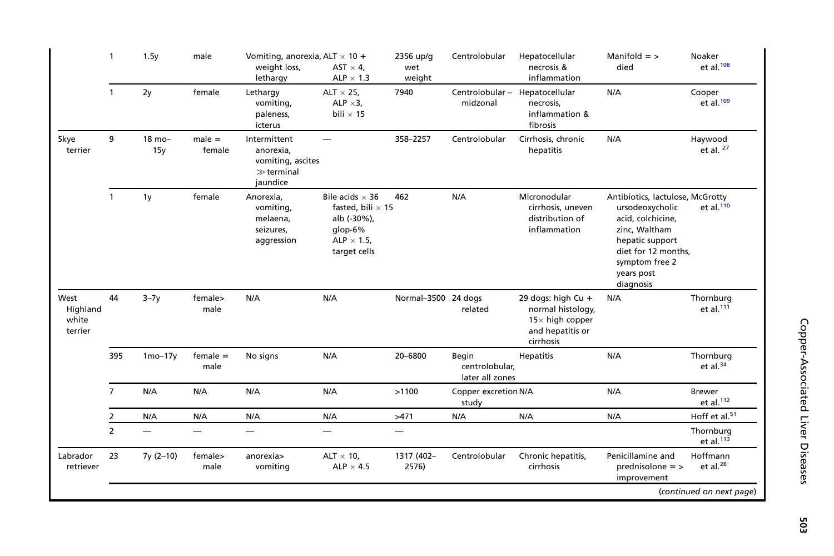|                                      | $\mathbf{1}$   | 1.5y          | male                  | Vomiting, anorexia, ALT $\times$ 10 +<br>weight loss,<br>lethargy            | AST $\times$ 4.<br>ALP $\times$ 1.3                                                                               | 2356 up/g<br>wet<br>weight | Centrolobular                              | Hepatocellular<br>necrosis &<br>inflammation                                                       | Manifold $=$ ><br>died                                                                                                                                                           | Noaker<br>et al. <sup>108</sup>    |
|--------------------------------------|----------------|---------------|-----------------------|------------------------------------------------------------------------------|-------------------------------------------------------------------------------------------------------------------|----------------------------|--------------------------------------------|----------------------------------------------------------------------------------------------------|----------------------------------------------------------------------------------------------------------------------------------------------------------------------------------|------------------------------------|
|                                      | $\mathbf{1}$   | 2y            | female                | Lethargy<br>vomiting,<br>paleness,<br>icterus                                | ALT $\times$ 25,<br>ALP $\times$ 3,<br>bili $\times$ 15                                                           | 7940                       | Centrolobular - Hepatocellular<br>midzonal | necrosis,<br>inflammation &<br>fibrosis                                                            | N/A                                                                                                                                                                              | Cooper<br>et al. $109$             |
| Skye<br>terrier                      | 9              | 18 mo-<br>15y | $male =$<br>female    | Intermittent<br>anorexia,<br>vomiting, ascites<br>$\gg$ terminal<br>jaundice |                                                                                                                   | 358-2257                   | Centrolobular                              | Cirrhosis, chronic<br>hepatitis                                                                    | N/A                                                                                                                                                                              | Haywood<br>et al. $27$             |
|                                      | $\mathbf{1}$   | 1y            | female                | Anorexia,<br>vomiting,<br>melaena,<br>seizures,<br>aggression                | Bile acids $\times$ 36<br>fasted, bili $\times$ 15<br>alb (-30%),<br>glop-6%<br>ALP $\times$ 1.5,<br>target cells | 462                        | N/A                                        | Micronodular<br>cirrhosis, uneven<br>distribution of<br>inflammation                               | Antibiotics, lactulose, McGrotty<br>ursodeoxycholic<br>acid, colchicine,<br>zinc, Waltham<br>hepatic support<br>diet for 12 months,<br>symptom free 2<br>years post<br>diagnosis | et al. $110$                       |
| West<br>Highland<br>white<br>terrier | 44             | $3-7y$        | female><br>male       | N/A                                                                          | N/A                                                                                                               | Normal-3500 24 dogs        | related                                    | 29 dogs: high Cu +<br>normal histology,<br>$15\times$ high copper<br>and hepatitis or<br>cirrhosis | N/A                                                                                                                                                                              | Thornburg<br>et al. <sup>111</sup> |
|                                      | 395            | $1mo-17y$     | $f$ emale $=$<br>male | No signs                                                                     | N/A                                                                                                               | 20-6800                    | Begin<br>centrolobular.<br>later all zones | Hepatitis                                                                                          | N/A                                                                                                                                                                              | Thornburg<br>et al. $34$           |
|                                      | $\overline{7}$ | N/A           | N/A                   | N/A                                                                          | N/A                                                                                                               | >1100                      | Copper excretion N/A<br>study              |                                                                                                    | N/A                                                                                                                                                                              | <b>Brewer</b><br>et al. $112$      |
|                                      | 2              | N/A           | N/A                   | N/A                                                                          | N/A                                                                                                               | >471                       | N/A                                        | N/A                                                                                                | N/A                                                                                                                                                                              | Hoff et al. <sup>51</sup>          |
|                                      | 2              |               |                       |                                                                              | $\overline{\phantom{0}}$                                                                                          | $\overline{\phantom{0}}$   |                                            |                                                                                                    |                                                                                                                                                                                  | Thornburg<br>et al. $113$          |
| Labrador<br>retriever                | 23             | $7y(2-10)$    | female><br>male       | anorexia><br>vomiting                                                        | ALT $\times$ 10,<br>ALP $\times$ 4.5                                                                              | 1317 (402-<br>2576)        | Centrolobular                              | Chronic hepatitis,<br>cirrhosis                                                                    | Penicillamine and<br>$prednisolone =$<br>improvement                                                                                                                             | Hoffmann<br>et al. $^{28}$         |
|                                      |                |               |                       |                                                                              |                                                                                                                   |                            |                                            |                                                                                                    |                                                                                                                                                                                  | (continued on next page)           |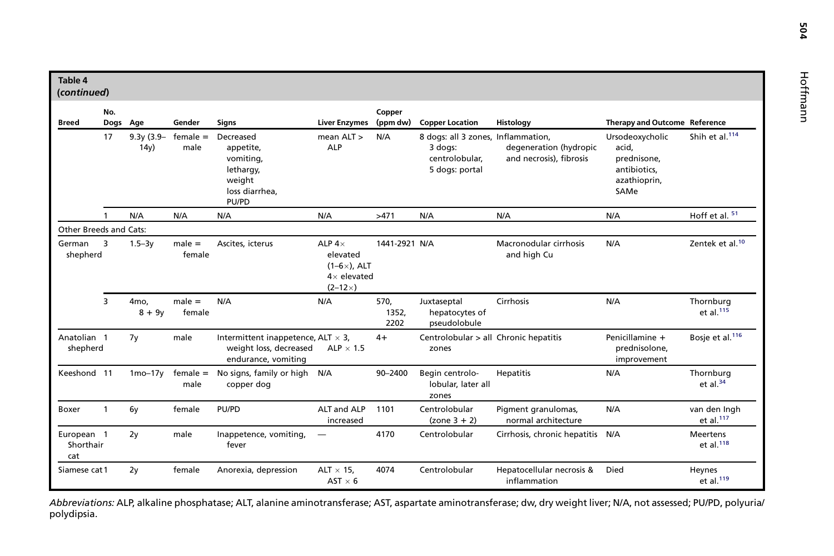| Table 4<br>(continued)         |                         |                             |                       |                                                                                             |                                                                                          |                       |                                                                                   |                                                   |                                                                                 |                                          |
|--------------------------------|-------------------------|-----------------------------|-----------------------|---------------------------------------------------------------------------------------------|------------------------------------------------------------------------------------------|-----------------------|-----------------------------------------------------------------------------------|---------------------------------------------------|---------------------------------------------------------------------------------|------------------------------------------|
| <b>Breed</b>                   | No.<br>Dogs             | Age                         | Gender                | Signs                                                                                       | <b>Liver Enzymes</b>                                                                     | Copper<br>(ppm dw)    | <b>Copper Location</b>                                                            | Histology                                         | Therapy and Outcome Reference                                                   |                                          |
|                                | 17                      | $9.3y(3.9-$<br>14y)         | $f$ emale $=$<br>male | Decreased<br>appetite,<br>vomiting,<br>lethargy,<br>weight<br>loss diarrhea,<br>PU/PD       | mean ALT ><br><b>ALP</b>                                                                 | N/A                   | 8 dogs: all 3 zones, Inflammation,<br>3 dogs:<br>centrolobular.<br>5 dogs: portal | degeneration (hydropic<br>and necrosis), fibrosis | Ursodeoxycholic<br>acid.<br>prednisone,<br>antibiotics.<br>azathioprin,<br>SAMe | Shih et al. <sup>114</sup>               |
|                                |                         | N/A                         | N/A                   | N/A                                                                                         | N/A                                                                                      | >471                  | N/A                                                                               | N/A                                               | N/A                                                                             | Hoff et al. 51                           |
| Other Breeds and Cats:         |                         |                             |                       |                                                                                             |                                                                                          |                       |                                                                                   |                                                   |                                                                                 |                                          |
| German<br>shepherd             | $\overline{\mathbf{3}}$ | $1.5 - 3v$                  | $male =$<br>female    | Ascites, icterus                                                                            | ALP $4\times$<br>elevated<br>$(1-6\times)$ , ALT<br>$4\times$ elevated<br>$(2-12\times)$ | 1441-2921 N/A         |                                                                                   | Macronodular cirrhosis<br>and high Cu             | N/A                                                                             | Zentek et al. <sup>10</sup>              |
|                                | 3                       | 4 <sub>mo</sub><br>$8 + 9v$ | $male =$<br>female    | N/A                                                                                         | N/A                                                                                      | 570,<br>1352,<br>2202 | Juxtaseptal<br>hepatocytes of<br>pseudolobule                                     | Cirrhosis                                         | N/A                                                                             | Thornburg<br>et al. <sup>115</sup>       |
| Anatolian 1<br>shepherd        |                         | 7y                          | male                  | Intermittent inappetence, $ALT \times 3$ ,<br>weight loss, decreased<br>endurance, vomiting | ALP $\times$ 1.5                                                                         | $4+$                  | Centrolobular > all Chronic hepatitis<br>zones                                    |                                                   | Penicillamine +<br>prednisolone,<br>improvement                                 | Bosje et al. <sup>116</sup>              |
| Keeshond 11                    |                         | $1mo-17v$                   | $f$ emale $=$<br>male | No signs, family or high<br>copper dog                                                      | N/A                                                                                      | 90-2400               | Begin centrolo-<br>lobular, later all<br>zones                                    | <b>Hepatitis</b>                                  | N/A                                                                             | Thornburg<br>et al. $34$                 |
| Boxer                          | 1                       | 6y                          | female                | PU/PD                                                                                       | ALT and ALP<br>increased                                                                 | 1101                  | Centrolobular<br>$(zone 3 + 2)$                                                   | Pigment granulomas,<br>normal architecture        | N/A                                                                             | van den Ingh<br>et al. $117$             |
| European 1<br>Shorthair<br>cat |                         | 2y                          | male                  | Inappetence, vomiting,<br>fever                                                             | $\overline{\phantom{0}}$                                                                 | 4170                  | Centrolobular                                                                     | Cirrhosis, chronic hepatitis                      | N/A                                                                             | <b>Meertens</b><br>et al. <sup>118</sup> |
| Siamese cat 1                  |                         | 2y                          | female                | Anorexia, depression                                                                        | ALT $\times$ 15,<br>AST $\times$ 6                                                       | 4074                  | Centrolobular                                                                     | Hepatocellular necrosis &<br>inflammation         | Died                                                                            | Heynes<br>et al. <sup>119</sup>          |

Abbreviations: ALP, alkaline phosphatase; ALT, alanine aminotransferase; AST, aspartate aminotransferase; dw, dry weight liver; N/A, not assessed; PU/PD, polyuria/ polydipsia.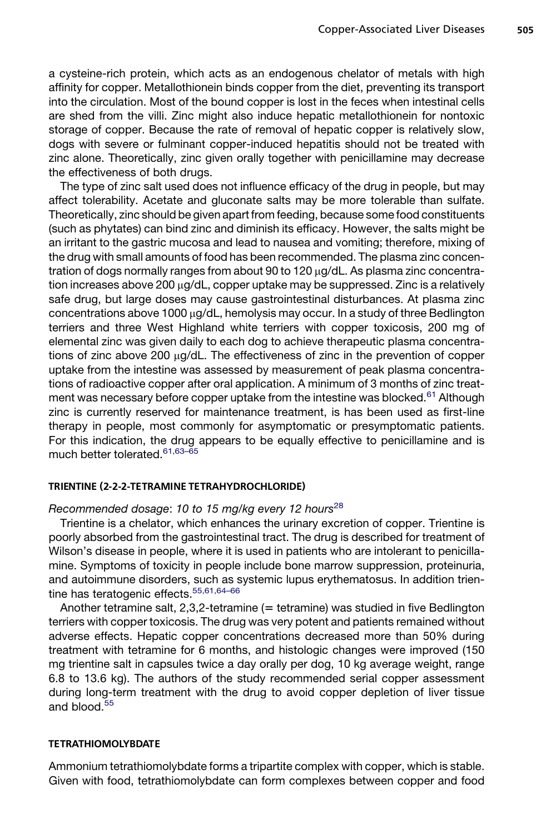a cysteine-rich protein, which acts as an endogenous chelator of metals with high affinity for copper. Metallothionein binds copper from the diet, preventing its transport into the circulation. Most of the bound copper is lost in the feces when intestinal cells are shed from the villi. Zinc might also induce hepatic metallothionein for nontoxic storage of copper. Because the rate of removal of hepatic copper is relatively slow, dogs with severe or fulminant copper-induced hepatitis should not be treated with zinc alone. Theoretically, zinc given orally together with penicillamine may decrease the effectiveness of both drugs.

The type of zinc salt used does not influence efficacy of the drug in people, but may affect tolerability. Acetate and gluconate salts may be more tolerable than sulfate. Theoretically, zinc should be given apart from feeding, because some food constituents (such as phytates) can bind zinc and diminish its efficacy. However, the salts might be an irritant to the gastric mucosa and lead to nausea and vomiting; therefore, mixing of the drug with small amounts of food has been recommended. The plasma zinc concentration of dogs normally ranges from about 90 to  $120 \mu g/dL$ . As plasma zinc concentration increases above 200  $\mu$ g/dL, copper uptake may be suppressed. Zinc is a relatively safe drug, but large doses may cause gastrointestinal disturbances. At plasma zinc concentrations above 1000  $\mu$ g/dL, hemolysis may occur. In a study of three Bedlington terriers and three West Highland white terriers with copper toxicosis, 200 mg of elemental zinc was given daily to each dog to achieve therapeutic plasma concentrations of zinc above 200  $\mu$ g/dL. The effectiveness of zinc in the prevention of copper uptake from the intestine was assessed by measurement of peak plasma concentrations of radioactive copper after oral application. A minimum of 3 months of zinc treat-ment was necessary before copper uptake from the intestine was blocked.<sup>[61](#page-20-0)</sup> Although zinc is currently reserved for maintenance treatment, is has been used as first-line therapy in people, most commonly for asymptomatic or presymptomatic patients. For this indication, the drug appears to be equally effective to penicillamine and is much better tolerated.<sup>61,63-65</sup>

#### TRIENTINE (2-2-2-TETRAMINE TETRAHYDROCHLORIDE)

# *Recommended dosage*: *10 to 15 mg/kg every 12 hours*[28](#page-18-0)

Trientine is a chelator, which enhances the urinary excretion of copper. Trientine is poorly absorbed from the gastrointestinal tract. The drug is described for treatment of Wilson's disease in people, where it is used in patients who are intolerant to penicillamine. Symptoms of toxicity in people include bone marrow suppression, proteinuria, and autoimmune disorders, such as systemic lupus erythematosus. In addition trientine has teratogenic effects.<sup>55,61,64-66</sup>

Another tetramine salt,  $2,3,2$ -tetramine (= tetramine) was studied in five Bedlington terriers with copper toxicosis. The drug was very potent and patients remained without adverse effects. Hepatic copper concentrations decreased more than 50% during treatment with tetramine for 6 months, and histologic changes were improved (150 mg trientine salt in capsules twice a day orally per dog, 10 kg average weight, range 6.8 to 13.6 kg). The authors of the study recommended serial copper assessment during long-term treatment with the drug to avoid copper depletion of liver tissue and blood.[55](#page-19-0)

#### TETRATHIOMOLYBDATE

Ammonium tetrathiomolybdate forms a tripartite complex with copper, which is stable. Given with food, tetrathiomolybdate can form complexes between copper and food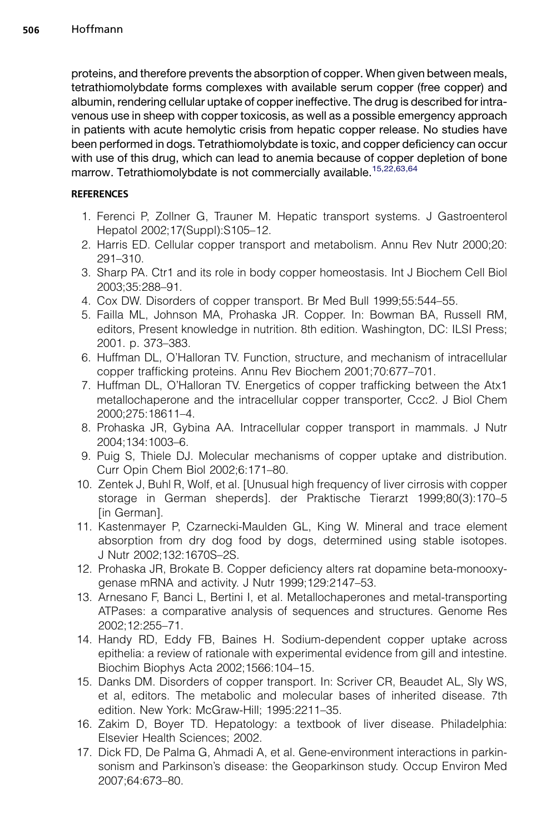<span id="page-17-0"></span>proteins, and therefore prevents the absorption of copper. When given between meals, tetrathiomolybdate forms complexes with available serum copper (free copper) and albumin, rendering cellular uptake of copper ineffective. The drug is described for intravenous use in sheep with copper toxicosis, as well as a possible emergency approach in patients with acute hemolytic crisis from hepatic copper release. No studies have been performed in dogs. Tetrathiomolybdate is toxic, and copper deficiency can occur with use of this drug, which can lead to anemia because of copper depletion of bone marrow. Tetrathiomolybdate is not commercially available.<sup>15,22,63,64</sup>

# **REFERENCES**

- 1. Ferenci P, Zollner G, Trauner M. Hepatic transport systems. J Gastroenterol Hepatol 2002;17(Suppl):S105–12.
- 2. Harris ED. Cellular copper transport and metabolism. Annu Rev Nutr 2000;20: 291–310.
- 3. Sharp PA. Ctr1 and its role in body copper homeostasis. Int J Biochem Cell Biol 2003;35:288–91.
- 4. Cox DW. Disorders of copper transport. Br Med Bull 1999;55:544–55.
- 5. Failla ML, Johnson MA, Prohaska JR. Copper. In: Bowman BA, Russell RM, editors, Present knowledge in nutrition. 8th edition. Washington, DC: ILSI Press; 2001. p. 373–383.
- 6. Huffman DL, O'Halloran TV. Function, structure, and mechanism of intracellular copper trafficking proteins. Annu Rev Biochem 2001;70:677–701.
- 7. Huffman DL, O'Halloran TV. Energetics of copper trafficking between the Atx1 metallochaperone and the intracellular copper transporter, Ccc2. J Biol Chem 2000;275:18611–4.
- 8. Prohaska JR, Gybina AA. Intracellular copper transport in mammals. J Nutr 2004;134:1003–6.
- 9. Puig S, Thiele DJ. Molecular mechanisms of copper uptake and distribution. Curr Opin Chem Biol 2002;6:171–80.
- 10. Zentek J, Buhl R, Wolf, et al. [Unusual high frequency of liver cirrosis with copper storage in German sheperds]. der Praktische Tierarzt 1999;80(3):170–5 [in German].
- 11. Kastenmayer P, Czarnecki-Maulden GL, King W. Mineral and trace element absorption from dry dog food by dogs, determined using stable isotopes. J Nutr 2002;132:1670S–2S.
- 12. Prohaska JR, Brokate B. Copper deficiency alters rat dopamine beta-monooxygenase mRNA and activity. J Nutr 1999;129:2147–53.
- 13. Arnesano F, Banci L, Bertini I, et al. Metallochaperones and metal-transporting ATPases: a comparative analysis of sequences and structures. Genome Res 2002;12:255–71.
- 14. Handy RD, Eddy FB, Baines H. Sodium-dependent copper uptake across epithelia: a review of rationale with experimental evidence from gill and intestine. Biochim Biophys Acta 2002;1566:104–15.
- 15. Danks DM. Disorders of copper transport. In: Scriver CR, Beaudet AL, Sly WS, et al, editors. The metabolic and molecular bases of inherited disease. 7th edition. New York: McGraw-Hill; 1995:2211–35.
- 16. Zakim D, Boyer TD. Hepatology: a textbook of liver disease. Philadelphia: Elsevier Health Sciences; 2002.
- 17. Dick FD, De Palma G, Ahmadi A, et al. Gene-environment interactions in parkinsonism and Parkinson's disease: the Geoparkinson study. Occup Environ Med 2007;64:673–80.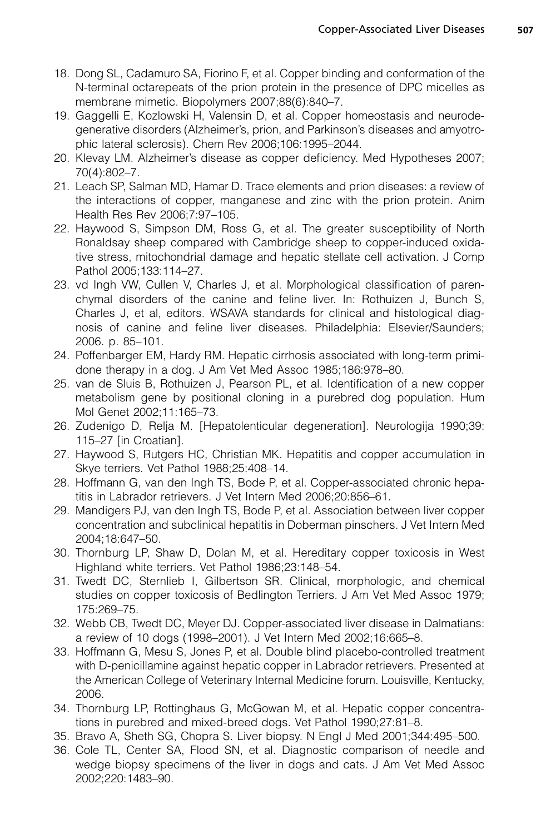- <span id="page-18-0"></span>18. Dong SL, Cadamuro SA, Fiorino F, et al. Copper binding and conformation of the N-terminal octarepeats of the prion protein in the presence of DPC micelles as membrane mimetic. Biopolymers 2007;88(6):840–7.
- 19. Gaggelli E, Kozlowski H, Valensin D, et al. Copper homeostasis and neurodegenerative disorders (Alzheimer's, prion, and Parkinson's diseases and amyotrophic lateral sclerosis). Chem Rev 2006;106:1995–2044.
- 20. Klevay LM. Alzheimer's disease as copper deficiency. Med Hypotheses 2007; 70(4):802–7.
- 21. Leach SP, Salman MD, Hamar D. Trace elements and prion diseases: a review of the interactions of copper, manganese and zinc with the prion protein. Anim Health Res Rev 2006;7:97–105.
- 22. Haywood S, Simpson DM, Ross G, et al. The greater susceptibility of North Ronaldsay sheep compared with Cambridge sheep to copper-induced oxidative stress, mitochondrial damage and hepatic stellate cell activation. J Comp Pathol 2005;133:114–27.
- 23. vd Ingh VW, Cullen V, Charles J, et al. Morphological classification of parenchymal disorders of the canine and feline liver. In: Rothuizen J, Bunch S, Charles J, et al, editors. WSAVA standards for clinical and histological diagnosis of canine and feline liver diseases. Philadelphia: Elsevier/Saunders; 2006. p. 85–101.
- 24. Poffenbarger EM, Hardy RM. Hepatic cirrhosis associated with long-term primidone therapy in a dog. J Am Vet Med Assoc 1985;186:978–80.
- 25. van de Sluis B, Rothuizen J, Pearson PL, et al. Identification of a new copper metabolism gene by positional cloning in a purebred dog population. Hum Mol Genet 2002;11:165–73.
- 26. Zudenigo D, Relja M. [Hepatolenticular degeneration]. Neurologija 1990;39: 115–27 [in Croatian].
- 27. Haywood S, Rutgers HC, Christian MK. Hepatitis and copper accumulation in Skye terriers. Vet Pathol 1988;25:408–14.
- 28. Hoffmann G, van den Ingh TS, Bode P, et al. Copper-associated chronic hepatitis in Labrador retrievers. J Vet Intern Med 2006;20:856–61.
- 29. Mandigers PJ, van den Ingh TS, Bode P, et al. Association between liver copper concentration and subclinical hepatitis in Doberman pinschers. J Vet Intern Med 2004;18:647–50.
- 30. Thornburg LP, Shaw D, Dolan M, et al. Hereditary copper toxicosis in West Highland white terriers. Vet Pathol 1986;23:148–54.
- 31. Twedt DC, Sternlieb I, Gilbertson SR. Clinical, morphologic, and chemical studies on copper toxicosis of Bedlington Terriers. J Am Vet Med Assoc 1979; 175:269–75.
- 32. Webb CB, Twedt DC, Meyer DJ. Copper-associated liver disease in Dalmatians: a review of 10 dogs (1998–2001). J Vet Intern Med 2002;16:665–8.
- 33. Hoffmann G, Mesu S, Jones P, et al. Double blind placebo-controlled treatment with D-penicillamine against hepatic copper in Labrador retrievers. Presented at the American College of Veterinary Internal Medicine forum. Louisville, Kentucky, 2006.
- 34. Thornburg LP, Rottinghaus G, McGowan M, et al. Hepatic copper concentrations in purebred and mixed-breed dogs. Vet Pathol 1990;27:81–8.
- 35. Bravo A, Sheth SG, Chopra S. Liver biopsy. N Engl J Med 2001;344:495–500.
- 36. Cole TL, Center SA, Flood SN, et al. Diagnostic comparison of needle and wedge biopsy specimens of the liver in dogs and cats. J Am Vet Med Assoc 2002;220:1483–90.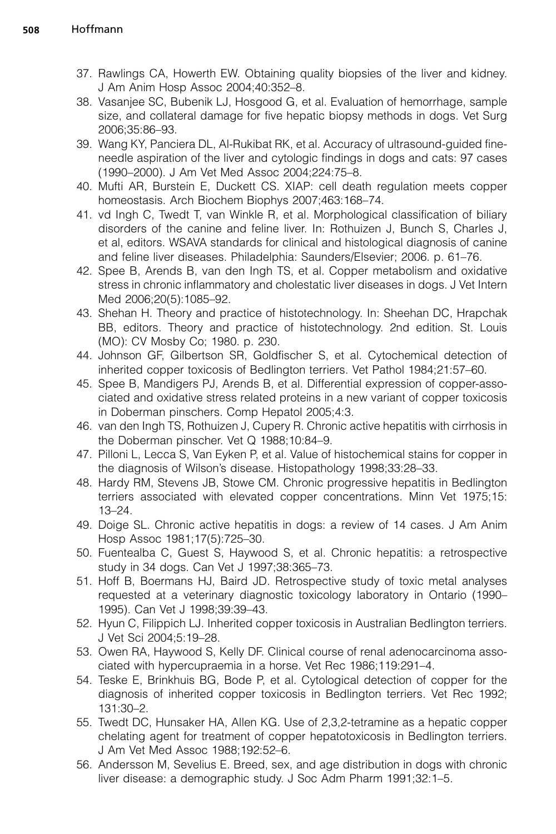- <span id="page-19-0"></span>37. Rawlings CA, Howerth EW. Obtaining quality biopsies of the liver and kidney. J Am Anim Hosp Assoc 2004;40:352–8.
- 38. Vasanjee SC, Bubenik LJ, Hosgood G, et al. Evaluation of hemorrhage, sample size, and collateral damage for five hepatic biopsy methods in dogs. Vet Surg 2006;35:86–93.
- 39. Wang KY, Panciera DL, Al-Rukibat RK, et al. Accuracy of ultrasound-guided fineneedle aspiration of the liver and cytologic findings in dogs and cats: 97 cases (1990–2000). J Am Vet Med Assoc 2004;224:75–8.
- 40. Mufti AR, Burstein E, Duckett CS. XIAP: cell death regulation meets copper homeostasis. Arch Biochem Biophys 2007;463:168–74.
- 41. vd Ingh C, Twedt T, van Winkle R, et al. Morphological classification of biliary disorders of the canine and feline liver. In: Rothuizen J, Bunch S, Charles J, et al, editors. WSAVA standards for clinical and histological diagnosis of canine and feline liver diseases. Philadelphia: Saunders/Elsevier; 2006. p. 61–76.
- 42. Spee B, Arends B, van den Ingh TS, et al. Copper metabolism and oxidative stress in chronic inflammatory and cholestatic liver diseases in dogs. J Vet Intern Med 2006;20(5):1085–92.
- 43. Shehan H. Theory and practice of histotechnology. In: Sheehan DC, Hrapchak BB, editors. Theory and practice of histotechnology. 2nd edition. St. Louis (MO): CV Mosby Co; 1980. p. 230.
- 44. Johnson GF, Gilbertson SR, Goldfischer S, et al. Cytochemical detection of inherited copper toxicosis of Bedlington terriers. Vet Pathol 1984;21:57–60.
- 45. Spee B, Mandigers PJ, Arends B, et al. Differential expression of copper-associated and oxidative stress related proteins in a new variant of copper toxicosis in Doberman pinschers. Comp Hepatol 2005;4:3.
- 46. van den Ingh TS, Rothuizen J, Cupery R. Chronic active hepatitis with cirrhosis in the Doberman pinscher. Vet Q 1988;10:84–9.
- 47. Pilloni L, Lecca S, Van Eyken P, et al. Value of histochemical stains for copper in the diagnosis of Wilson's disease. Histopathology 1998;33:28–33.
- 48. Hardy RM, Stevens JB, Stowe CM. Chronic progressive hepatitis in Bedlington terriers associated with elevated copper concentrations. Minn Vet 1975;15: 13–24.
- 49. Doige SL. Chronic active hepatitis in dogs: a review of 14 cases. J Am Anim Hosp Assoc 1981;17(5):725–30.
- 50. Fuentealba C, Guest S, Haywood S, et al. Chronic hepatitis: a retrospective study in 34 dogs. Can Vet J 1997;38:365–73.
- 51. Hoff B, Boermans HJ, Baird JD. Retrospective study of toxic metal analyses requested at a veterinary diagnostic toxicology laboratory in Ontario (1990– 1995). Can Vet J 1998;39:39–43.
- 52. Hyun C, Filippich LJ. Inherited copper toxicosis in Australian Bedlington terriers. J Vet Sci 2004;5:19–28.
- 53. Owen RA, Haywood S, Kelly DF. Clinical course of renal adenocarcinoma associated with hypercupraemia in a horse. Vet Rec 1986;119:291–4.
- 54. Teske E, Brinkhuis BG, Bode P, et al. Cytological detection of copper for the diagnosis of inherited copper toxicosis in Bedlington terriers. Vet Rec 1992; 131:30–2.
- 55. Twedt DC, Hunsaker HA, Allen KG. Use of 2,3,2-tetramine as a hepatic copper chelating agent for treatment of copper hepatotoxicosis in Bedlington terriers. J Am Vet Med Assoc 1988;192:52–6.
- 56. Andersson M, Sevelius E. Breed, sex, and age distribution in dogs with chronic liver disease: a demographic study. J Soc Adm Pharm 1991;32:1–5.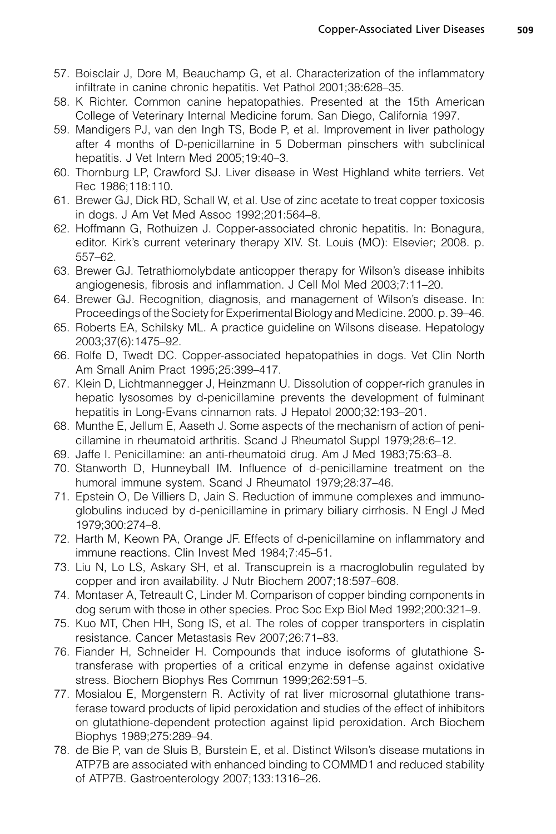- <span id="page-20-0"></span>57. Boisclair J, Dore M, Beauchamp G, et al. Characterization of the inflammatory infiltrate in canine chronic hepatitis. Vet Pathol 2001;38:628–35.
- 58. K Richter. Common canine hepatopathies. Presented at the 15th American College of Veterinary Internal Medicine forum. San Diego, California 1997.
- 59. Mandigers PJ, van den Ingh TS, Bode P, et al. Improvement in liver pathology after 4 months of D-penicillamine in 5 Doberman pinschers with subclinical hepatitis. J Vet Intern Med 2005;19:40–3.
- 60. Thornburg LP, Crawford SJ. Liver disease in West Highland white terriers. Vet Rec 1986;118:110.
- 61. Brewer GJ, Dick RD, Schall W, et al. Use of zinc acetate to treat copper toxicosis in dogs. J Am Vet Med Assoc 1992;201:564–8.
- 62. Hoffmann G, Rothuizen J. Copper-associated chronic hepatitis. In: Bonagura, editor. Kirk's current veterinary therapy XIV. St. Louis (MO): Elsevier; 2008. p. 557–62.
- 63. Brewer GJ. Tetrathiomolybdate anticopper therapy for Wilson's disease inhibits angiogenesis, fibrosis and inflammation. J Cell Mol Med 2003;7:11–20.
- 64. Brewer GJ. Recognition, diagnosis, and management of Wilson's disease. In: Proceedings of the Society for Experimental Biology and Medicine. 2000. p. 39–46.
- 65. Roberts EA, Schilsky ML. A practice guideline on Wilsons disease. Hepatology 2003;37(6):1475–92.
- 66. Rolfe D, Twedt DC. Copper-associated hepatopathies in dogs. Vet Clin North Am Small Anim Pract 1995;25:399–417.
- 67. Klein D, Lichtmannegger J, Heinzmann U. Dissolution of copper-rich granules in hepatic lysosomes by d-penicillamine prevents the development of fulminant hepatitis in Long-Evans cinnamon rats. J Hepatol 2000;32:193–201.
- 68. Munthe E, Jellum E, Aaseth J. Some aspects of the mechanism of action of penicillamine in rheumatoid arthritis. Scand J Rheumatol Suppl 1979;28:6–12.
- 69. Jaffe I. Penicillamine: an anti-rheumatoid drug. Am J Med 1983;75:63–8.
- 70. Stanworth D, Hunneyball IM. Influence of d-penicillamine treatment on the humoral immune system. Scand J Rheumatol 1979;28:37–46.
- 71. Epstein O, De Villiers D, Jain S. Reduction of immune complexes and immunoglobulins induced by d-penicillamine in primary biliary cirrhosis. N Engl J Med 1979;300:274–8.
- 72. Harth M, Keown PA, Orange JF. Effects of d-penicillamine on inflammatory and immune reactions. Clin Invest Med 1984;7:45–51.
- 73. Liu N, Lo LS, Askary SH, et al. Transcuprein is a macroglobulin regulated by copper and iron availability. J Nutr Biochem 2007;18:597–608.
- 74. Montaser A, Tetreault C, Linder M. Comparison of copper binding components in dog serum with those in other species. Proc Soc Exp Biol Med 1992;200:321–9.
- 75. Kuo MT, Chen HH, Song IS, et al. The roles of copper transporters in cisplatin resistance. Cancer Metastasis Rev 2007;26:71–83.
- 76. Fiander H, Schneider H. Compounds that induce isoforms of glutathione Stransferase with properties of a critical enzyme in defense against oxidative stress. Biochem Biophys Res Commun 1999;262:591–5.
- 77. Mosialou E, Morgenstern R. Activity of rat liver microsomal glutathione transferase toward products of lipid peroxidation and studies of the effect of inhibitors on glutathione-dependent protection against lipid peroxidation. Arch Biochem Biophys 1989;275:289–94.
- 78. de Bie P, van de Sluis B, Burstein E, et al. Distinct Wilson's disease mutations in ATP7B are associated with enhanced binding to COMMD1 and reduced stability of ATP7B. Gastroenterology 2007;133:1316–26.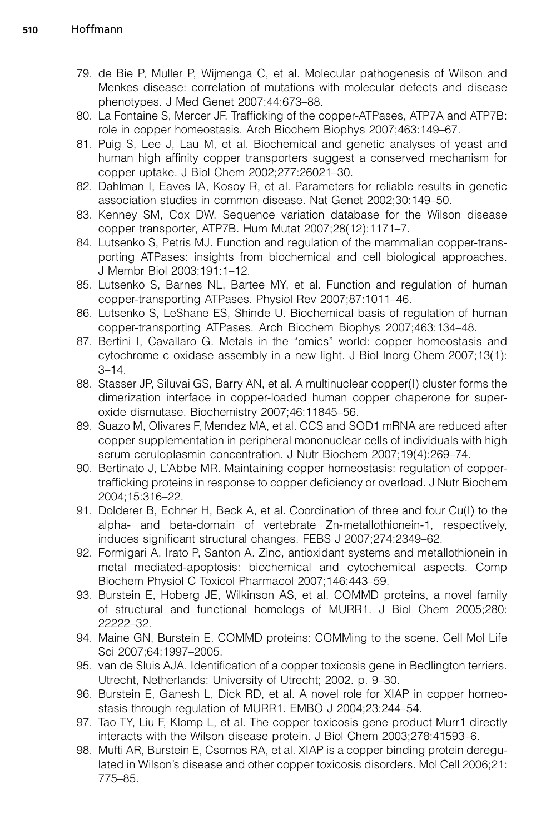- 79. de Bie P, Muller P, Wijmenga C, et al. Molecular pathogenesis of Wilson and Menkes disease: correlation of mutations with molecular defects and disease phenotypes. J Med Genet 2007;44:673–88.
- 80. La Fontaine S, Mercer JF. Trafficking of the copper-ATPases, ATP7A and ATP7B: role in copper homeostasis. Arch Biochem Biophys 2007;463:149–67.
- 81. Puig S, Lee J, Lau M, et al. Biochemical and genetic analyses of yeast and human high affinity copper transporters suggest a conserved mechanism for copper uptake. J Biol Chem 2002;277:26021–30.
- 82. Dahlman I, Eaves IA, Kosoy R, et al. Parameters for reliable results in genetic association studies in common disease. Nat Genet 2002;30:149–50.
- 83. Kenney SM, Cox DW. Sequence variation database for the Wilson disease copper transporter, ATP7B. Hum Mutat 2007;28(12):1171–7.
- 84. Lutsenko S, Petris MJ. Function and regulation of the mammalian copper-transporting ATPases: insights from biochemical and cell biological approaches. J Membr Biol 2003;191:1–12.
- 85. Lutsenko S, Barnes NL, Bartee MY, et al. Function and regulation of human copper-transporting ATPases. Physiol Rev 2007;87:1011–46.
- 86. Lutsenko S, LeShane ES, Shinde U. Biochemical basis of regulation of human copper-transporting ATPases. Arch Biochem Biophys 2007;463:134–48.
- 87. Bertini I, Cavallaro G. Metals in the "omics" world: copper homeostasis and cytochrome c oxidase assembly in a new light. J Biol Inorg Chem 2007;13(1):  $3 - 14$ .
- 88. Stasser JP, Siluvai GS, Barry AN, et al. A multinuclear copper(I) cluster forms the dimerization interface in copper-loaded human copper chaperone for superoxide dismutase. Biochemistry 2007;46:11845–56.
- 89. Suazo M, Olivares F, Mendez MA, et al. CCS and SOD1 mRNA are reduced after copper supplementation in peripheral mononuclear cells of individuals with high serum ceruloplasmin concentration. J Nutr Biochem 2007;19(4):269–74.
- 90. Bertinato J, L'Abbe MR. Maintaining copper homeostasis: regulation of coppertrafficking proteins in response to copper deficiency or overload. J Nutr Biochem 2004;15:316–22.
- 91. Dolderer B, Echner H, Beck A, et al. Coordination of three and four Cu(I) to the alpha- and beta-domain of vertebrate Zn-metallothionein-1, respectively, induces significant structural changes. FEBS J 2007;274:2349–62.
- 92. Formigari A, Irato P, Santon A. Zinc, antioxidant systems and metallothionein in metal mediated-apoptosis: biochemical and cytochemical aspects. Comp Biochem Physiol C Toxicol Pharmacol 2007;146:443–59.
- 93. Burstein E, Hoberg JE, Wilkinson AS, et al. COMMD proteins, a novel family of structural and functional homologs of MURR1. J Biol Chem 2005;280: 22222–32.
- 94. Maine GN, Burstein E. COMMD proteins: COMMing to the scene. Cell Mol Life Sci 2007;64:1997–2005.
- 95. van de Sluis AJA. Identification of a copper toxicosis gene in Bedlington terriers. Utrecht, Netherlands: University of Utrecht; 2002. p. 9–30.
- 96. Burstein E, Ganesh L, Dick RD, et al. A novel role for XIAP in copper homeostasis through regulation of MURR1. EMBO J 2004;23:244–54.
- 97. Tao TY, Liu F, Klomp L, et al. The copper toxicosis gene product Murr1 directly interacts with the Wilson disease protein. J Biol Chem 2003;278:41593–6.
- 98. Mufti AR, Burstein E, Csomos RA, et al. XIAP is a copper binding protein deregulated in Wilson's disease and other copper toxicosis disorders. Mol Cell 2006;21: 775–85.